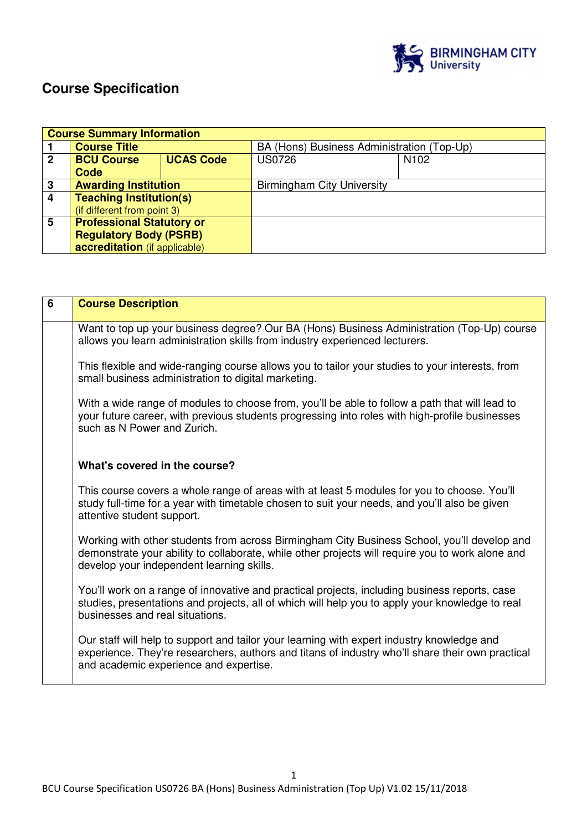

# **Course Specification**

|             | <b>Course Summary Information</b> |                  |                                            |                  |  |
|-------------|-----------------------------------|------------------|--------------------------------------------|------------------|--|
|             | <b>Course Title</b>               |                  | BA (Hons) Business Administration (Top-Up) |                  |  |
| $\mathbf 2$ | <b>BCU Course</b>                 | <b>UCAS Code</b> | <b>US0726</b>                              | N <sub>102</sub> |  |
|             | Code                              |                  |                                            |                  |  |
| 3           | <b>Awarding Institution</b>       |                  | <b>Birmingham City University</b>          |                  |  |
| 4           | <b>Teaching Institution(s)</b>    |                  |                                            |                  |  |
|             | (if different from point 3)       |                  |                                            |                  |  |
| 5           | <b>Professional Statutory or</b>  |                  |                                            |                  |  |
|             | <b>Regulatory Body (PSRB)</b>     |                  |                                            |                  |  |
|             | accreditation (if applicable)     |                  |                                            |                  |  |

| 6 | <b>Course Description</b>                                                                                                                                                                                                                    |
|---|----------------------------------------------------------------------------------------------------------------------------------------------------------------------------------------------------------------------------------------------|
|   | Want to top up your business degree? Our BA (Hons) Business Administration (Top-Up) course<br>allows you learn administration skills from industry experienced lecturers.                                                                    |
|   | This flexible and wide-ranging course allows you to tailor your studies to your interests, from<br>small business administration to digital marketing.                                                                                       |
|   | With a wide range of modules to choose from, you'll be able to follow a path that will lead to<br>your future career, with previous students progressing into roles with high-profile businesses<br>such as N Power and Zurich.              |
|   | What's covered in the course?                                                                                                                                                                                                                |
|   | This course covers a whole range of areas with at least 5 modules for you to choose. You'll<br>study full-time for a year with timetable chosen to suit your needs, and you'll also be given<br>attentive student support.                   |
|   | Working with other students from across Birmingham City Business School, you'll develop and<br>demonstrate your ability to collaborate, while other projects will require you to work alone and<br>develop your independent learning skills. |
|   | You'll work on a range of innovative and practical projects, including business reports, case<br>studies, presentations and projects, all of which will help you to apply your knowledge to real<br>businesses and real situations.          |
|   | Our staff will help to support and tailor your learning with expert industry knowledge and<br>experience. They're researchers, authors and titans of industry who'll share their own practical<br>and academic experience and expertise.     |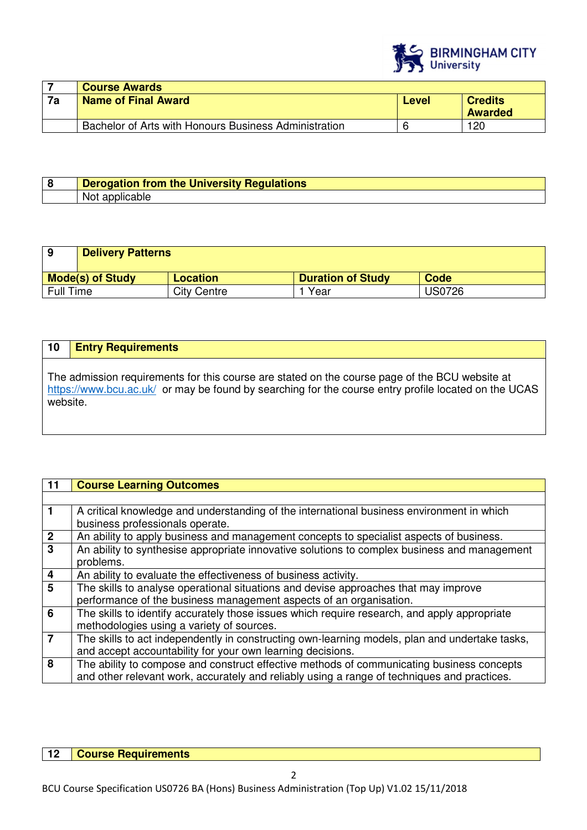

|    | <b>Course Awards</b>                                  |       |                                  |
|----|-------------------------------------------------------|-------|----------------------------------|
| 7a | Name of Final Award                                   | Level | <b>Credits</b><br><b>Awarded</b> |
|    | Bachelor of Arts with Honours Business Administration |       | 120                              |

| Derogation from the University Regulations |
|--------------------------------------------|
| NΟι<br>אוור<br>au                          |

|                  | <b>Delivery Patterns</b> |                    |                          |               |
|------------------|--------------------------|--------------------|--------------------------|---------------|
|                  | <b>Mode(s) of Study</b>  | <b>Location</b>    | <b>Duration of Study</b> | Code          |
| <b>Full Time</b> |                          | <b>City Centre</b> | Year                     | <b>US0726</b> |

# **10 Entry Requirements**

The admission requirements for this course are stated on the course page of the BCU website at https://www.bcu.ac.uk/ or may be found by searching for the course entry profile located on the UCAS website.

| 11                      | <b>Course Learning Outcomes</b>                                                                |
|-------------------------|------------------------------------------------------------------------------------------------|
|                         |                                                                                                |
| $\mathbf 1$             | A critical knowledge and understanding of the international business environment in which      |
|                         | business professionals operate.                                                                |
| $\frac{2}{3}$           | An ability to apply business and management concepts to specialist aspects of business.        |
|                         | An ability to synthesise appropriate innovative solutions to complex business and management   |
|                         | problems.                                                                                      |
| $\overline{\mathbf{4}}$ | An ability to evaluate the effectiveness of business activity.                                 |
| $\overline{5}$          | The skills to analyse operational situations and devise approaches that may improve            |
|                         | performance of the business management aspects of an organisation.                             |
| 6                       | The skills to identify accurately those issues which require research, and apply appropriate   |
|                         | methodologies using a variety of sources.                                                      |
| $\overline{7}$          | The skills to act independently in constructing own-learning models, plan and undertake tasks, |
|                         | and accept accountability for your own learning decisions.                                     |
| 8                       | The ability to compose and construct effective methods of communicating business concepts      |
|                         | and other relevant work, accurately and reliably using a range of techniques and practices.    |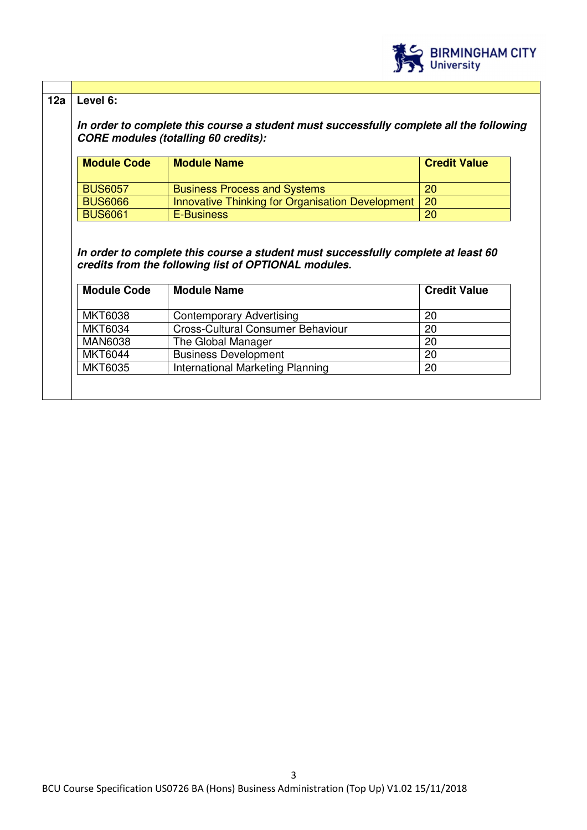

## **12a Level 6:**

*In order to complete this course a student must successfully complete all the following CORE modules (totalling 60 credits):* 

| <b>Module Code</b> | <b>Module Name</b>                                    | <b>Credit Value</b> |
|--------------------|-------------------------------------------------------|---------------------|
| <b>BUS6057</b>     | <b>Business Process and Systems</b>                   | <b>20</b>           |
| <b>BUS6066</b>     | Innovative Thinking for Organisation Development   20 |                     |
| <b>BUS6061</b>     | E-Business                                            | 20                  |

*In order to complete this course a student must successfully complete at least 60 credits from the following list of OPTIONAL modules.* 

| <b>Module Code</b> | <b>Module Name</b>                | <b>Credit Value</b> |
|--------------------|-----------------------------------|---------------------|
| <b>MKT6038</b>     | <b>Contemporary Advertising</b>   | 20                  |
| <b>MKT6034</b>     | Cross-Cultural Consumer Behaviour | 20                  |
| <b>MAN6038</b>     | The Global Manager                | 20                  |
| <b>MKT6044</b>     | <b>Business Development</b>       | 20                  |
| <b>MKT6035</b>     | International Marketing Planning  | 20                  |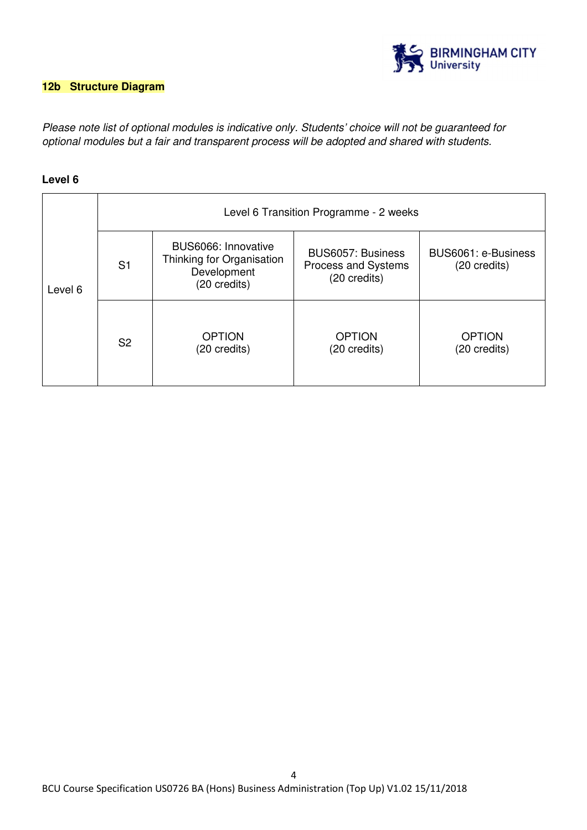

# **12b Structure Diagram**

Please note list of optional modules is indicative only. Students' choice will not be guaranteed for optional modules but a fair and transparent process will be adopted and shared with students.

### **Level 6**

|         | Level 6 Transition Programme - 2 weeks |                                                                                 |                                                          |                                     |
|---------|----------------------------------------|---------------------------------------------------------------------------------|----------------------------------------------------------|-------------------------------------|
| Level 6 | S <sub>1</sub>                         | BUS6066: Innovative<br>Thinking for Organisation<br>Development<br>(20 credits) | BUS6057: Business<br>Process and Systems<br>(20 credits) | BUS6061: e-Business<br>(20 credits) |
|         | S <sub>2</sub>                         | <b>OPTION</b><br>(20 credits)                                                   | <b>OPTION</b><br>(20 credits)                            | <b>OPTION</b><br>(20 credits)       |